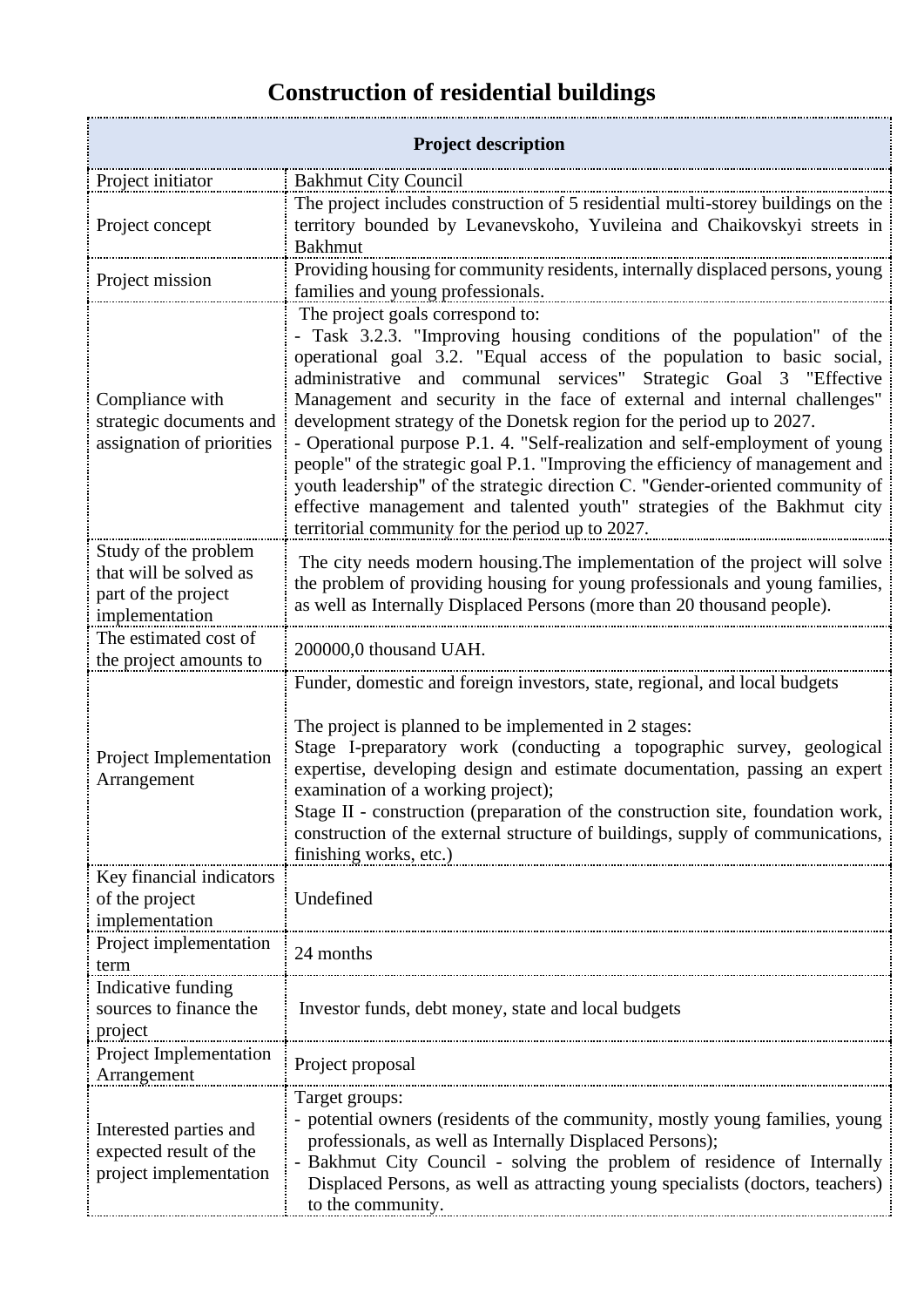## **Construction of residential buildings**

| <b>Project description</b>                                                              |                                                                                                                                                                                                                                                                                                                                                                                                                                                                                                                                                                                                                                                                                                                                                                                                 |
|-----------------------------------------------------------------------------------------|-------------------------------------------------------------------------------------------------------------------------------------------------------------------------------------------------------------------------------------------------------------------------------------------------------------------------------------------------------------------------------------------------------------------------------------------------------------------------------------------------------------------------------------------------------------------------------------------------------------------------------------------------------------------------------------------------------------------------------------------------------------------------------------------------|
| Project initiator                                                                       | <b>Bakhmut City Council</b>                                                                                                                                                                                                                                                                                                                                                                                                                                                                                                                                                                                                                                                                                                                                                                     |
| Project concept                                                                         | The project includes construction of 5 residential multi-storey buildings on the<br>territory bounded by Levanevskoho, Yuvileina and Chaikovskyi streets in<br><b>Bakhmut</b>                                                                                                                                                                                                                                                                                                                                                                                                                                                                                                                                                                                                                   |
| Project mission                                                                         | Providing housing for community residents, internally displaced persons, young<br>families and young professionals.                                                                                                                                                                                                                                                                                                                                                                                                                                                                                                                                                                                                                                                                             |
| Compliance with<br>strategic documents and<br>assignation of priorities                 | The project goals correspond to:<br>- Task 3.2.3. "Improving housing conditions of the population" of the<br>operational goal 3.2. "Equal access of the population to basic social,<br>administrative and communal services" Strategic Goal 3 "Effective<br>Management and security in the face of external and internal challenges"<br>development strategy of the Donetsk region for the period up to 2027.<br>- Operational purpose P.1. 4. "Self-realization and self-employment of young<br>people" of the strategic goal P.1. "Improving the efficiency of management and<br>youth leadership" of the strategic direction C. "Gender-oriented community of<br>effective management and talented youth" strategies of the Bakhmut city<br>territorial community for the period up to 2027. |
| Study of the problem<br>that will be solved as<br>part of the project<br>implementation | The city needs modern housing. The implementation of the project will solve<br>the problem of providing housing for young professionals and young families,<br>as well as Internally Displaced Persons (more than 20 thousand people).                                                                                                                                                                                                                                                                                                                                                                                                                                                                                                                                                          |
| The estimated cost of<br>the project amounts to                                         | 200000,0 thousand UAH.                                                                                                                                                                                                                                                                                                                                                                                                                                                                                                                                                                                                                                                                                                                                                                          |
| Project Implementation<br>Arrangement                                                   | Funder, domestic and foreign investors, state, regional, and local budgets<br>The project is planned to be implemented in 2 stages:<br>Stage I-preparatory work (conducting a topographic survey, geological<br>expertise, developing design and estimate documentation, passing an expert<br>examination of a working project);<br>Stage II - construction (preparation of the construction site, foundation work,<br>construction of the external structure of buildings, supply of communications,<br>finishing works, etc.)                                                                                                                                                                                                                                                                 |
| Key financial indicators<br>of the project<br>implementation                            | Undefined                                                                                                                                                                                                                                                                                                                                                                                                                                                                                                                                                                                                                                                                                                                                                                                       |
| Project implementation<br>term                                                          | 24 months                                                                                                                                                                                                                                                                                                                                                                                                                                                                                                                                                                                                                                                                                                                                                                                       |
| Indicative funding<br>sources to finance the<br>project                                 | Investor funds, debt money, state and local budgets                                                                                                                                                                                                                                                                                                                                                                                                                                                                                                                                                                                                                                                                                                                                             |
| Project Implementation<br>Arrangement                                                   | Project proposal                                                                                                                                                                                                                                                                                                                                                                                                                                                                                                                                                                                                                                                                                                                                                                                |
| Interested parties and<br>expected result of the<br>project implementation              | Target groups:<br>- potential owners (residents of the community, mostly young families, young<br>professionals, as well as Internally Displaced Persons);<br>- Bakhmut City Council - solving the problem of residence of Internally<br>Displaced Persons, as well as attracting young specialists (doctors, teachers)<br>to the community.                                                                                                                                                                                                                                                                                                                                                                                                                                                    |